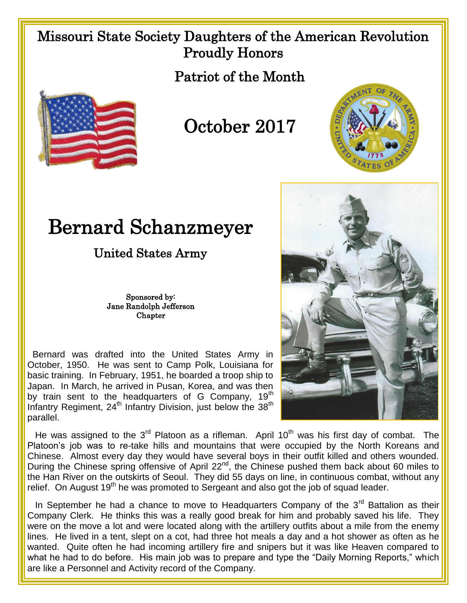## Missouri State Society Daughters of the American Revolution Proudly Honors

Patriot of the Month



## October 2017



## Bernard Schanzmeyer

United States Army

Sponsored by: Jane Randolph Jefferson **Chapter** 

 Bernard was drafted into the United States Army in October, 1950. He was sent to Camp Polk, Louisiana for basic training. In February, 1951, he boarded a troop ship to Japan. In March, he arrived in Pusan, Korea, and was then by train sent to the headquarters of G Company,  $19<sup>th</sup>$ Infantry Regiment,  $24<sup>th</sup>$  Infantry Division, just below the  $38<sup>th</sup>$ parallel.



He was assigned to the  $3<sup>rd</sup>$  Platoon as a rifleman. April 10<sup>th</sup> was his first day of combat. The Platoon's job was to re-take hills and mountains that were occupied by the North Koreans and Chinese. Almost every day they would have several boys in their outfit killed and others wounded. During the Chinese spring offensive of April 22<sup>nd</sup>, the Chinese pushed them back about 60 miles to the Han River on the outskirts of Seoul. They did 55 days on line, in continuous combat, without any relief. On August  $19<sup>th</sup>$  he was promoted to Sergeant and also got the job of squad leader.

In September he had a chance to move to Headquarters Company of the  $3<sup>rd</sup>$  Battalion as their Company Clerk. He thinks this was a really good break for him and probably saved his life. They were on the move a lot and were located along with the artillery outfits about a mile from the enemy lines. He lived in a tent, slept on a cot, had three hot meals a day and a hot shower as often as he wanted. Quite often he had incoming artillery fire and snipers but it was like Heaven compared to what he had to do before. His main job was to prepare and type the "Daily Morning Reports," which are like a Personnel and Activity record of the Company.